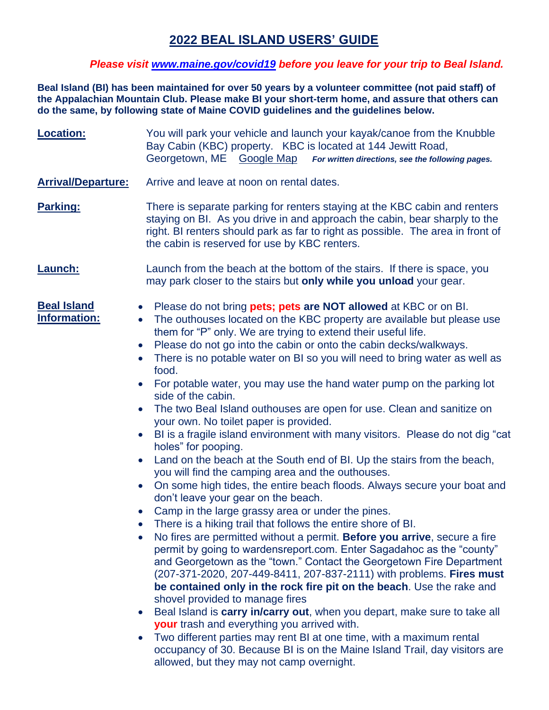## **2022 BEAL ISLAND USERS' GUIDE**

### *Please visit [www.maine.gov/covid19](http://www.maine.gov/covid19) before you leave for your trip to Beal Island.*

**Beal Island (BI) has been maintained for over 50 years by a volunteer committee (not paid staff) of the Appalachian Mountain Club. Please make BI your short-term home, and assure that others can do the same, by following state of Maine COVID guidelines and the guidelines below.**

| <b>Location:</b>                                                                                                                                               | You will park your vehicle and launch your kayak/canoe from the Knubble<br>Bay Cabin (KBC) property. KBC is located at 144 Jewitt Road,<br>Georgetown, ME Google Map For written directions, see the following pages.                                                                                                                                                                                                                                                                                                                                                                                                                                                                                                                                                                                                                                                                                                                                                                                                                                                                                                                                                                                                                                                                                                                                                                                                                                                                                                                                                                                                                                                                                                                                                                                                                  |
|----------------------------------------------------------------------------------------------------------------------------------------------------------------|----------------------------------------------------------------------------------------------------------------------------------------------------------------------------------------------------------------------------------------------------------------------------------------------------------------------------------------------------------------------------------------------------------------------------------------------------------------------------------------------------------------------------------------------------------------------------------------------------------------------------------------------------------------------------------------------------------------------------------------------------------------------------------------------------------------------------------------------------------------------------------------------------------------------------------------------------------------------------------------------------------------------------------------------------------------------------------------------------------------------------------------------------------------------------------------------------------------------------------------------------------------------------------------------------------------------------------------------------------------------------------------------------------------------------------------------------------------------------------------------------------------------------------------------------------------------------------------------------------------------------------------------------------------------------------------------------------------------------------------------------------------------------------------------------------------------------------------|
| <b>Arrival/Departure:</b>                                                                                                                                      | Arrive and leave at noon on rental dates.                                                                                                                                                                                                                                                                                                                                                                                                                                                                                                                                                                                                                                                                                                                                                                                                                                                                                                                                                                                                                                                                                                                                                                                                                                                                                                                                                                                                                                                                                                                                                                                                                                                                                                                                                                                              |
| Parking:                                                                                                                                                       | There is separate parking for renters staying at the KBC cabin and renters<br>staying on BI. As you drive in and approach the cabin, bear sharply to the<br>right. BI renters should park as far to right as possible. The area in front of<br>the cabin is reserved for use by KBC renters.                                                                                                                                                                                                                                                                                                                                                                                                                                                                                                                                                                                                                                                                                                                                                                                                                                                                                                                                                                                                                                                                                                                                                                                                                                                                                                                                                                                                                                                                                                                                           |
| <b>Launch:</b>                                                                                                                                                 | Launch from the beach at the bottom of the stairs. If there is space, you<br>may park closer to the stairs but only while you unload your gear.                                                                                                                                                                                                                                                                                                                                                                                                                                                                                                                                                                                                                                                                                                                                                                                                                                                                                                                                                                                                                                                                                                                                                                                                                                                                                                                                                                                                                                                                                                                                                                                                                                                                                        |
| <b>Beal Island</b><br>$\bullet$<br><b>Information:</b><br>$\bullet$<br>$\bullet$<br>$\bullet$<br>$\bullet$<br>$\bullet$<br>$\bullet$<br>$\bullet$<br>$\bullet$ | Please do not bring <b>pets; pets are NOT allowed</b> at KBC or on BI.<br>The outhouses located on the KBC property are available but please use<br>them for "P" only. We are trying to extend their useful life.<br>Please do not go into the cabin or onto the cabin decks/walkways.<br>There is no potable water on BI so you will need to bring water as well as<br>food.<br>For potable water, you may use the hand water pump on the parking lot<br>side of the cabin.<br>The two Beal Island outhouses are open for use. Clean and sanitize on<br>your own. No toilet paper is provided.<br>BI is a fragile island environment with many visitors. Please do not dig "cat<br>holes" for pooping.<br>Land on the beach at the South end of BI. Up the stairs from the beach,<br>you will find the camping area and the outhouses.<br>On some high tides, the entire beach floods. Always secure your boat and<br>don't leave your gear on the beach.<br>Camp in the large grassy area or under the pines.<br>There is a hiking trail that follows the entire shore of BI<br>No fires are permitted without a permit. Before you arrive, secure a fire<br>permit by going to wardensreport.com. Enter Sagadahoc as the "county"<br>and Georgetown as the "town." Contact the Georgetown Fire Department<br>(207-371-2020, 207-449-8411, 207-837-2111) with problems. Fires must<br>be contained only in the rock fire pit on the beach. Use the rake and<br>shovel provided to manage fires<br>Beal Island is carry in/carry out, when you depart, make sure to take all<br><b>your</b> trash and everything you arrived with.<br>Two different parties may rent BI at one time, with a maximum rental<br>occupancy of 30. Because BI is on the Maine Island Trail, day visitors are<br>allowed, but they may not camp overnight. |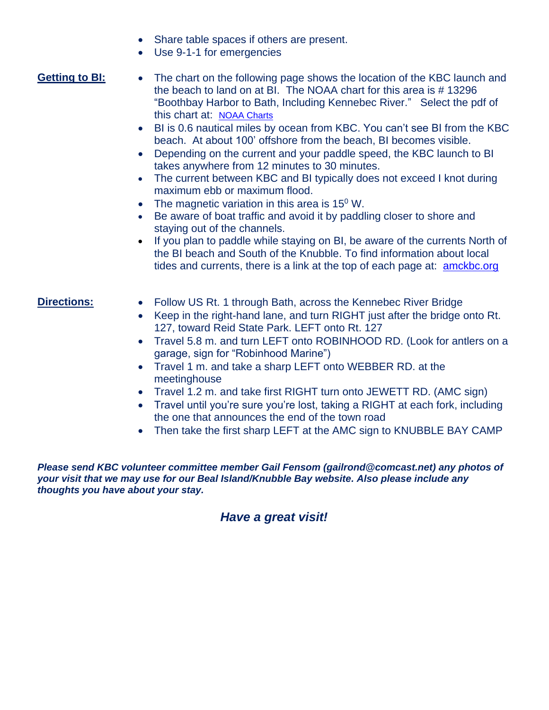- Share table spaces if others are present.
- Use 9-1-1 for emergencies

- **Getting to BI:** The chart on the following page shows the location of the KBC launch and the beach to land on at BI. The NOAA chart for this area is # 13296 "Boothbay Harbor to Bath, Including Kennebec River." Select the pdf of this chart at: [NOAA Charts](https://charts.noaa.gov/InteractiveCatalog/nrnc.shtml)
	- BI is 0.6 nautical miles by ocean from KBC. You can't see BI from the KBC beach. At about 100' offshore from the beach, BI becomes visible.
	- Depending on the current and your paddle speed, the KBC launch to BI takes anywhere from 12 minutes to 30 minutes.
	- The current between KBC and BI typically does not exceed I knot during maximum ebb or maximum flood.
	- The magnetic variation in this area is  $15^{\circ}$  W.
	- Be aware of boat traffic and avoid it by paddling closer to shore and staying out of the channels.
	- If you plan to paddle while staying on BI, be aware of the currents North of the BI beach and South of the Knubble. To find information about local tides and currents, there is a link at the top of each page at: **[amckbc.org](https://amckbc.org/)**

- **Directions:** Follow US Rt. 1 through Bath, across the Kennebec River Bridge
	- Keep in the right-hand lane, and turn RIGHT just after the bridge onto Rt. 127, toward Reid State Park. LEFT onto Rt. 127
	- Travel 5.8 m. and turn LEFT onto ROBINHOOD RD. (Look for antlers on a garage, sign for "Robinhood Marine")
	- Travel 1 m. and take a sharp LEFT onto WEBBER RD. at the meetinghouse
	- Travel 1.2 m. and take first RIGHT turn onto JEWETT RD. (AMC sign)
	- Travel until you're sure you're lost, taking a RIGHT at each fork, including the one that announces the end of the town road
	- Then take the first sharp LEFT at the AMC sign to KNUBBLE BAY CAMP

*Please send KBC volunteer committee member Gail Fensom (gailrond@comcast.net) any photos of your visit that we may use for our Beal Island/Knubble Bay website. Also please include any thoughts you have about your stay.*

## *Have a great visit!*